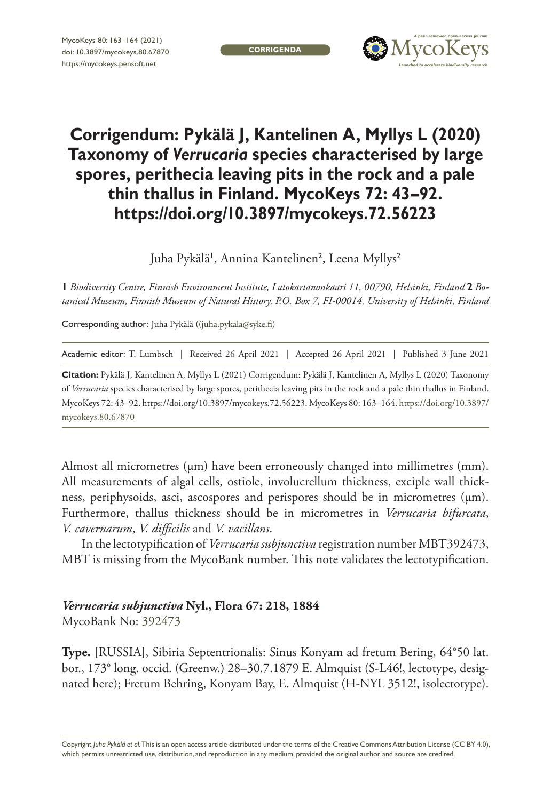**CORRIGENDA**



## **Corrigendum: Pykälä J, Kantelinen A, Myllys L (2020) Taxonomy of** *Verrucaria* **species characterised by large spores, perithecia leaving pits in the rock and a pale thin thallus in Finland. MycoKeys 72: 43–92. <https://doi.org/10.3897/mycokeys.72.56223>**

Juha Pykälä', Annina Kantelinen<sup>2</sup>, Leena Myllys<sup>2</sup>

**1** *Biodiversity Centre, Finnish Environment Institute, Latokartanonkaari 11, 00790, Helsinki, Finland* **2** *Botanical Museum, Finnish Museum of Natural History, P.O. Box 7, FI-00014, University of Helsinki, Finland*

Corresponding author: Juha Pykälä ([\(juha.pykala@syke.fi](mailto:juha.pykala@syke.fi))

Academic editor: T. Lumbsch | Received 26 April 2021 | Accepted 26 April 2021 | Published 3 June 2021

**Citation:** Pykälä J, Kantelinen A, Myllys L (2021) Corrigendum: Pykälä J, Kantelinen A, Myllys L (2020) Taxonomy of *Verrucaria* species characterised by large spores, perithecia leaving pits in the rock and a pale thin thallus in Finland. MycoKeys 72: 43–92.<https://doi.org/10.3897/mycokeys.72.56223>. MycoKeys 80: 163–164. [https://doi.org/10.3897/](https://doi.org/10.3897/mycokeys.80.67870) [mycokeys.80.67870](https://doi.org/10.3897/mycokeys.80.67870)

Almost all micrometres (μm) have been erroneously changed into millimetres (mm). All measurements of algal cells, ostiole, involucrellum thickness, exciple wall thickness, periphysoids, asci, ascospores and perispores should be in micrometres (μm). Furthermore, thallus thickness should be in micrometres in *Verrucaria bifurcata*, *V. cavernarum*, *V. difficilis* and *V. vacillans*.

In the lectotypification of *Verrucaria subjunctiva* registration number MBT392473, MBT is missing from the MycoBank number. This note validates the lectotypification.

## *Verrucaria subjunctiva* **Nyl., Flora 67: 218, 1884**

MycoBank No: [392473](http://www.mycobank.org/MycoTaxo.aspx?Link=T&Rec=392473)

**Type.** [RUSSIA], Sibiria Septentrionalis: Sinus Konyam ad fretum Bering, 64°50 lat. bor., 173° long. occid. (Greenw.) 28–30.7.1879 E. Almquist (S-L46!, lectotype, designated here); Fretum Behring, Konyam Bay, E. Almquist (H-NYL 3512!, isolectotype).

Copyright *Juha Pykälä et al.* This is an open access article distributed under the terms of the [Creative Commons Attribution License \(CC BY 4.0\),](http://creativecommons.org/licenses/by/4.0/) which permits unrestricted use, distribution, and reproduction in any medium, provided the original author and source are credited.